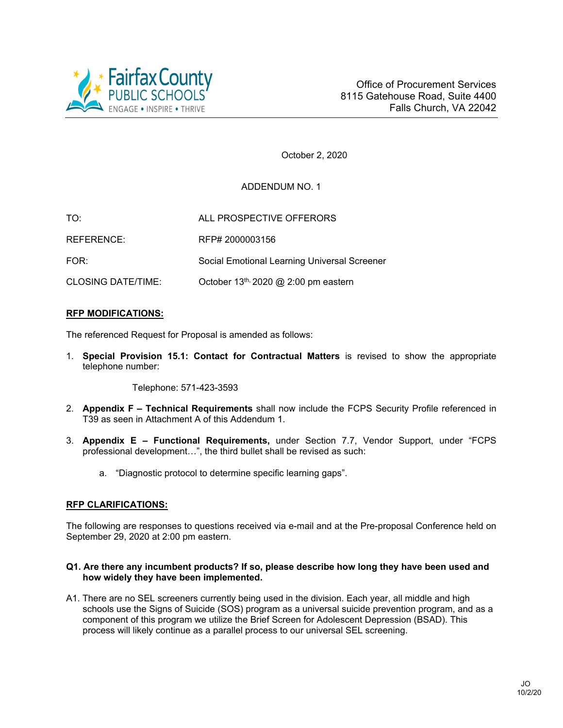

October 2, 2020

# ADDENDUM NO. 1

| TO:                       | ALL PROSPECTIVE OFFERORS                         |
|---------------------------|--------------------------------------------------|
| REFERENCE:                | RFP# 2000003156                                  |
| FOR:                      | Social Emotional Learning Universal Screener     |
| <b>CLOSING DATE/TIME:</b> | October 13 <sup>th, 2020</sup> @ 2:00 pm eastern |

### **RFP MODIFICATIONS:**

The referenced Request for Proposal is amended as follows:

1. **Special Provision 15.1: Contact for Contractual Matters** is revised to show the appropriate telephone number:

Telephone: 571-423-3593

- 2. **Appendix F Technical Requirements** shall now include the FCPS Security Profile referenced in T39 as seen in Attachment A of this Addendum 1.
- 3. **Appendix E Functional Requirements,** under Section 7.7, Vendor Support, under "FCPS professional development…", the third bullet shall be revised as such:
	- a. "Diagnostic protocol to determine specific learning gaps".

### **RFP CLARIFICATIONS:**

The following are responses to questions received via e-mail and at the Pre-proposal Conference held on September 29, 2020 at 2:00 pm eastern.

### **Q1. Are there any incumbent products? If so, please describe how long they have been used and how widely they have been implemented.**

A1. There are no SEL screeners currently being used in the division. Each year, all middle and high schools use the Signs of Suicide (SOS) program as a universal suicide prevention program, and as a component of this program we utilize the Brief Screen for Adolescent Depression (BSAD). This process will likely continue as a parallel process to our universal SEL screening.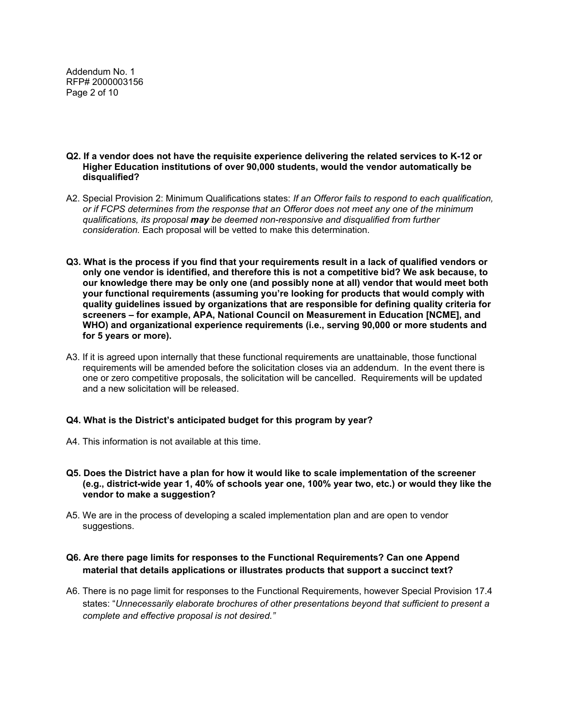Addendum No. 1 RFP# 2000003156 Page 2 of 10

- **Q2. If a vendor does not have the requisite experience delivering the related services to K-12 or Higher Education institutions of over 90,000 students, would the vendor automatically be disqualified?**
- A2. Special Provision 2: Minimum Qualifications states: *If an Offeror fails to respond to each qualification, or if FCPS determines from the response that an Offeror does not meet any one of the minimum qualifications, its proposal may be deemed non-responsive and disqualified from further consideration.* Each proposal will be vetted to make this determination.
- **Q3. What is the process if you find that your requirements result in a lack of qualified vendors or only one vendor is identified, and therefore this is not a competitive bid? We ask because, to our knowledge there may be only one (and possibly none at all) vendor that would meet both your functional requirements (assuming you're looking for products that would comply with quality guidelines issued by organizations that are responsible for defining quality criteria for screeners – for example, APA, National Council on Measurement in Education [NCME], and WHO) and organizational experience requirements (i.e., serving 90,000 or more students and for 5 years or more).**
- A3. If it is agreed upon internally that these functional requirements are unattainable, those functional requirements will be amended before the solicitation closes via an addendum. In the event there is one or zero competitive proposals, the solicitation will be cancelled. Requirements will be updated and a new solicitation will be released.

### **Q4. What is the District's anticipated budget for this program by year?**

- A4. This information is not available at this time.
- **Q5. Does the District have a plan for how it would like to scale implementation of the screener (e.g., district-wide year 1, 40% of schools year one, 100% year two, etc.) or would they like the vendor to make a suggestion?**
- A5. We are in the process of developing a scaled implementation plan and are open to vendor suggestions.

### **Q6. Are there page limits for responses to the Functional Requirements? Can one Append material that details applications or illustrates products that support a succinct text?**

A6. There is no page limit for responses to the Functional Requirements, however Special Provision 17.4 states: "*Unnecessarily elaborate brochures of other presentations beyond that sufficient to present a complete and effective proposal is not desired."*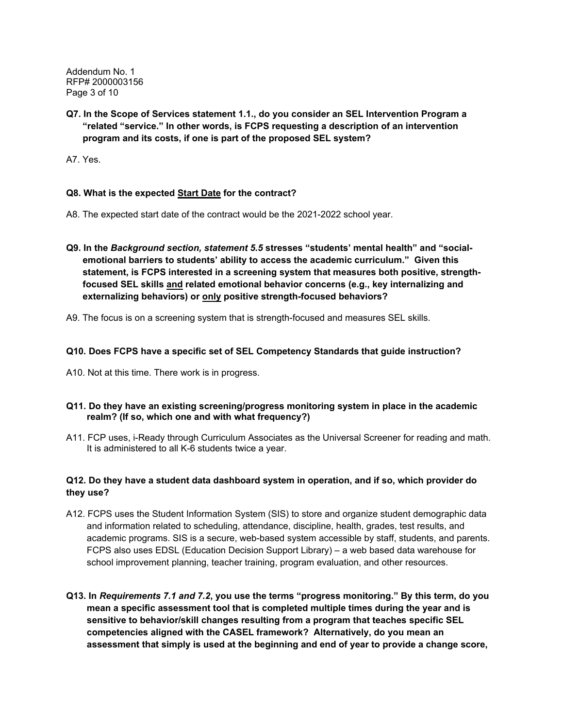Addendum No. 1 RFP# 2000003156 Page 3 of 10

**Q7. In the Scope of Services statement 1.1., do you consider an SEL Intervention Program a "related "service." In other words, is FCPS requesting a description of an intervention program and its costs, if one is part of the proposed SEL system?** 

A7. Yes.

### **Q8. What is the expected Start Date for the contract?**

- A8. The expected start date of the contract would be the 2021-2022 school year.
- **Q9. In the** *Background section, statement 5.5* **stresses "students' mental health" and "socialemotional barriers to students' ability to access the academic curriculum." Given this statement, is FCPS interested in a screening system that measures both positive, strengthfocused SEL skills and related emotional behavior concerns (e.g., key internalizing and externalizing behaviors) or only positive strength-focused behaviors?**
- A9. The focus is on a screening system that is strength-focused and measures SEL skills.

### **Q10. Does FCPS have a specific set of SEL Competency Standards that guide instruction?**

A10. Not at this time. There work is in progress.

### **Q11. Do they have an existing screening/progress monitoring system in place in the academic realm? (If so, which one and with what frequency?)**

A11. FCP uses, i-Ready through Curriculum Associates as the Universal Screener for reading and math. It is administered to all K-6 students twice a year.

## **Q12. Do they have a student data dashboard system in operation, and if so, which provider do they use?**

- A12. FCPS uses the Student Information System (SIS) to store and organize student demographic data and information related to scheduling, attendance, discipline, health, grades, test results, and academic programs. SIS is a secure, web-based system accessible by staff, students, and parents. FCPS also uses EDSL (Education Decision Support Library) – a web based data warehouse for school improvement planning, teacher training, program evaluation, and other resources.
- **Q13. In** *Requirements 7.1 and 7.2***, you use the terms "progress monitoring." By this term, do you mean a specific assessment tool that is completed multiple times during the year and is sensitive to behavior/skill changes resulting from a program that teaches specific SEL competencies aligned with the CASEL framework? Alternatively, do you mean an assessment that simply is used at the beginning and end of year to provide a change score,**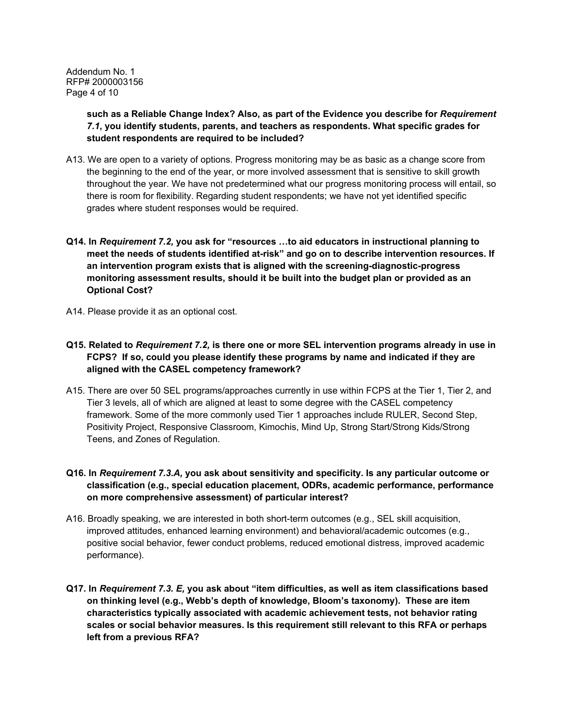Addendum No. 1 RFP# 2000003156 Page 4 of 10

> **such as a Reliable Change Index? Also, as part of the Evidence you describe for** *Requirement 7.1***, you identify students, parents, and teachers as respondents. What specific grades for student respondents are required to be included?**

- A13. We are open to a variety of options. Progress monitoring may be as basic as a change score from the beginning to the end of the year, or more involved assessment that is sensitive to skill growth throughout the year. We have not predetermined what our progress monitoring process will entail, so there is room for flexibility. Regarding student respondents; we have not yet identified specific grades where student responses would be required.
- **Q14. In** *Requirement 7.2,* **you ask for "resources …to aid educators in instructional planning to meet the needs of students identified at-risk" and go on to describe intervention resources. If an intervention program exists that is aligned with the screening-diagnostic-progress monitoring assessment results, should it be built into the budget plan or provided as an Optional Cost?**
- A14. Please provide it as an optional cost.
- **Q15. Related to** *Requirement 7.2,* **is there one or more SEL intervention programs already in use in FCPS? If so, could you please identify these programs by name and indicated if they are aligned with the CASEL competency framework?**
- A15. There are over 50 SEL programs/approaches currently in use within FCPS at the Tier 1, Tier 2, and Tier 3 levels, all of which are aligned at least to some degree with the CASEL competency framework. Some of the more commonly used Tier 1 approaches include RULER, Second Step, Positivity Project, Responsive Classroom, Kimochis, Mind Up, Strong Start/Strong Kids/Strong Teens, and Zones of Regulation.

## **Q16. In** *Requirement 7.3.A,* **you ask about sensitivity and specificity. Is any particular outcome or classification (e.g., special education placement, ODRs, academic performance, performance on more comprehensive assessment) of particular interest?**

- A16. Broadly speaking, we are interested in both short-term outcomes (e.g., SEL skill acquisition, improved attitudes, enhanced learning environment) and behavioral/academic outcomes (e.g., positive social behavior, fewer conduct problems, reduced emotional distress, improved academic performance).
- **Q17. In** *Requirement 7.3. E,* **you ask about "item difficulties, as well as item classifications based on thinking level (e.g., Webb's depth of knowledge, Bloom's taxonomy). These are item characteristics typically associated with academic achievement tests, not behavior rating scales or social behavior measures. Is this requirement still relevant to this RFA or perhaps left from a previous RFA?**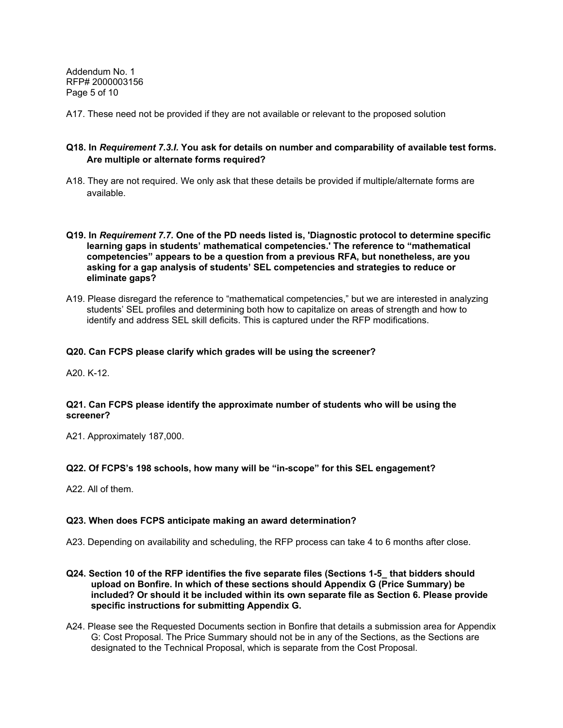Addendum No. 1 RFP# 2000003156 Page 5 of 10

A17. These need not be provided if they are not available or relevant to the proposed solution

### **Q18. In** *Requirement 7.3.I.* **You ask for details on number and comparability of available test forms. Are multiple or alternate forms required?**

- A18. They are not required. We only ask that these details be provided if multiple/alternate forms are available.
- **Q19. In** *Requirement 7.7.* **One of the PD needs listed is, 'Diagnostic protocol to determine specific learning gaps in students' mathematical competencies.' The reference to "mathematical competencies" appears to be a question from a previous RFA, but nonetheless, are you asking for a gap analysis of students' SEL competencies and strategies to reduce or eliminate gaps?**
- A19. Please disregard the reference to "mathematical competencies," but we are interested in analyzing students' SEL profiles and determining both how to capitalize on areas of strength and how to identify and address SEL skill deficits. This is captured under the RFP modifications.

### **Q20. Can FCPS please clarify which grades will be using the screener?**

A20. K-12.

### **Q21. Can FCPS please identify the approximate number of students who will be using the screener?**

A21. Approximately 187,000.

### **Q22. Of FCPS's 198 schools, how many will be "in-scope" for this SEL engagement?**

A22. All of them.

### **Q23. When does FCPS anticipate making an award determination?**

- A23. Depending on availability and scheduling, the RFP process can take 4 to 6 months after close.
- **Q24. Section 10 of the RFP identifies the five separate files (Sections 1-5\_ that bidders should upload on Bonfire. In which of these sections should Appendix G (Price Summary) be included? Or should it be included within its own separate file as Section 6. Please provide specific instructions for submitting Appendix G.**
- A24. Please see the Requested Documents section in Bonfire that details a submission area for Appendix G: Cost Proposal. The Price Summary should not be in any of the Sections, as the Sections are designated to the Technical Proposal, which is separate from the Cost Proposal.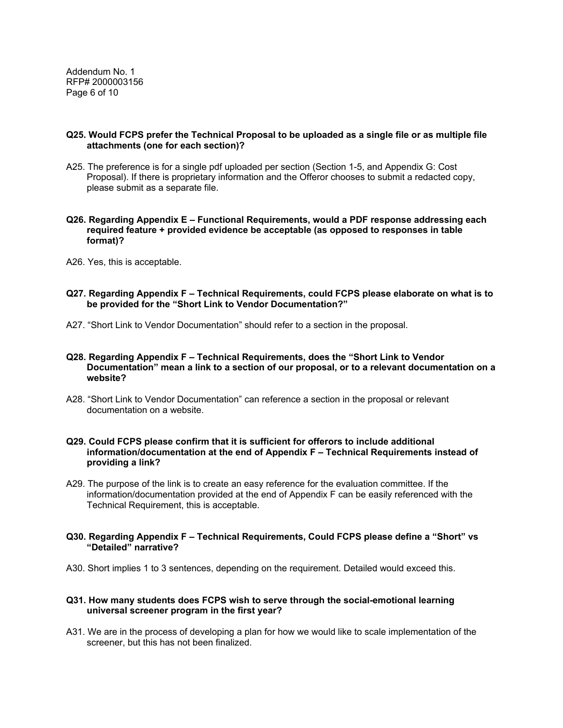Addendum No. 1 RFP# 2000003156 Page 6 of 10

#### **Q25. Would FCPS prefer the Technical Proposal to be uploaded as a single file or as multiple file attachments (one for each section)?**

A25. The preference is for a single pdf uploaded per section (Section 1-5, and Appendix G: Cost Proposal). If there is proprietary information and the Offeror chooses to submit a redacted copy, please submit as a separate file.

#### **Q26. Regarding Appendix E – Functional Requirements, would a PDF response addressing each required feature + provided evidence be acceptable (as opposed to responses in table format)?**

A26. Yes, this is acceptable.

### **Q27. Regarding Appendix F – Technical Requirements, could FCPS please elaborate on what is to be provided for the "Short Link to Vendor Documentation?"**

A27. "Short Link to Vendor Documentation" should refer to a section in the proposal.

### **Q28. Regarding Appendix F – Technical Requirements, does the "Short Link to Vendor Documentation" mean a link to a section of our proposal, or to a relevant documentation on a website?**

A28. "Short Link to Vendor Documentation" can reference a section in the proposal or relevant documentation on a website.

### **Q29. Could FCPS please confirm that it is sufficient for offerors to include additional information/documentation at the end of Appendix F – Technical Requirements instead of providing a link?**

A29. The purpose of the link is to create an easy reference for the evaluation committee. If the information/documentation provided at the end of Appendix F can be easily referenced with the Technical Requirement, this is acceptable.

### **Q30. Regarding Appendix F – Technical Requirements, Could FCPS please define a "Short" vs "Detailed" narrative?**

A30. Short implies 1 to 3 sentences, depending on the requirement. Detailed would exceed this.

### **Q31. How many students does FCPS wish to serve through the social-emotional learning universal screener program in the first year?**

A31. We are in the process of developing a plan for how we would like to scale implementation of the screener, but this has not been finalized.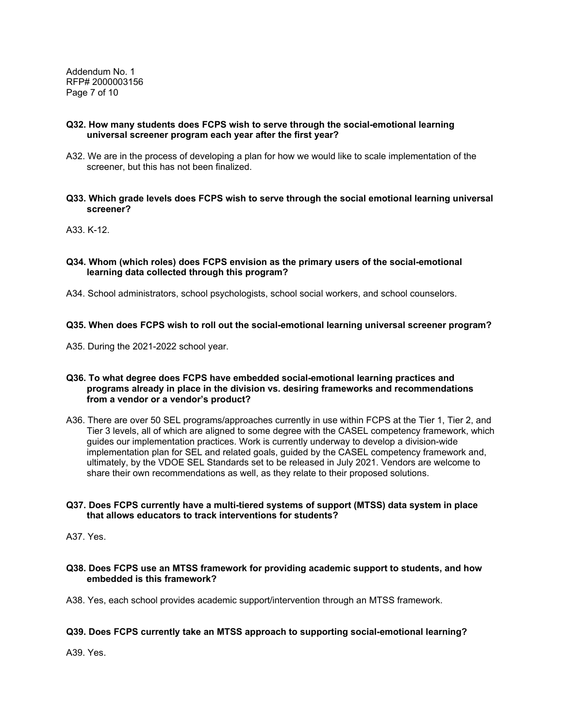Addendum No. 1 RFP# 2000003156 Page 7 of 10

### **Q32. How many students does FCPS wish to serve through the social-emotional learning universal screener program each year after the first year?**

- A32. We are in the process of developing a plan for how we would like to scale implementation of the screener, but this has not been finalized.
- **Q33. Which grade levels does FCPS wish to serve through the social emotional learning universal screener?**

A33. K-12.

### **Q34. Whom (which roles) does FCPS envision as the primary users of the social-emotional learning data collected through this program?**

A34. School administrators, school psychologists, school social workers, and school counselors.

### **Q35. When does FCPS wish to roll out the social-emotional learning universal screener program?**

A35. During the 2021-2022 school year.

### **Q36. To what degree does FCPS have embedded social-emotional learning practices and programs already in place in the division vs. desiring frameworks and recommendations from a vendor or a vendor's product?**

A36. There are over 50 SEL programs/approaches currently in use within FCPS at the Tier 1, Tier 2, and Tier 3 levels, all of which are aligned to some degree with the CASEL competency framework, which guides our implementation practices. Work is currently underway to develop a division-wide implementation plan for SEL and related goals, guided by the CASEL competency framework and, ultimately, by the VDOE SEL Standards set to be released in July 2021. Vendors are welcome to share their own recommendations as well, as they relate to their proposed solutions.

### **Q37. Does FCPS currently have a multi-tiered systems of support (MTSS) data system in place that allows educators to track interventions for students?**

A37. Yes.

### **Q38. Does FCPS use an MTSS framework for providing academic support to students, and how embedded is this framework?**

A38. Yes, each school provides academic support/intervention through an MTSS framework.

### **Q39. Does FCPS currently take an MTSS approach to supporting social-emotional learning?**

A39. Yes.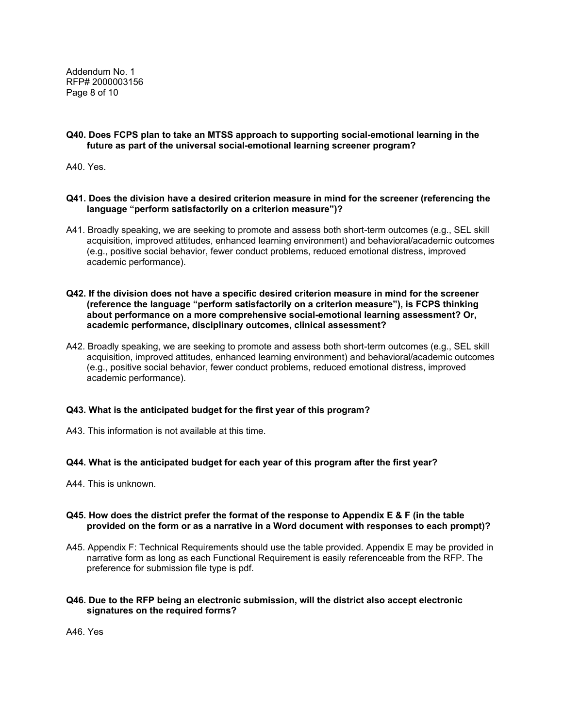Addendum No. 1 RFP# 2000003156 Page 8 of 10

### **Q40. Does FCPS plan to take an MTSS approach to supporting social-emotional learning in the future as part of the universal social-emotional learning screener program?**

A40. Yes.

#### **Q41. Does the division have a desired criterion measure in mind for the screener (referencing the language "perform satisfactorily on a criterion measure")?**

A41. Broadly speaking, we are seeking to promote and assess both short-term outcomes (e.g., SEL skill acquisition, improved attitudes, enhanced learning environment) and behavioral/academic outcomes (e.g., positive social behavior, fewer conduct problems, reduced emotional distress, improved academic performance).

#### **Q42. If the division does not have a specific desired criterion measure in mind for the screener (reference the language "perform satisfactorily on a criterion measure"), is FCPS thinking about performance on a more comprehensive social-emotional learning assessment? Or, academic performance, disciplinary outcomes, clinical assessment?**

A42. Broadly speaking, we are seeking to promote and assess both short-term outcomes (e.g., SEL skill acquisition, improved attitudes, enhanced learning environment) and behavioral/academic outcomes (e.g., positive social behavior, fewer conduct problems, reduced emotional distress, improved academic performance).

### **Q43. What is the anticipated budget for the first year of this program?**

A43. This information is not available at this time.

### **Q44. What is the anticipated budget for each year of this program after the first year?**

A44. This is unknown.

### **Q45. How does the district prefer the format of the response to Appendix E & F (in the table provided on the form or as a narrative in a Word document with responses to each prompt)?**

A45. Appendix F: Technical Requirements should use the table provided. Appendix E may be provided in narrative form as long as each Functional Requirement is easily referenceable from the RFP. The preference for submission file type is pdf.

### **Q46. Due to the RFP being an electronic submission, will the district also accept electronic signatures on the required forms?**

A46. Yes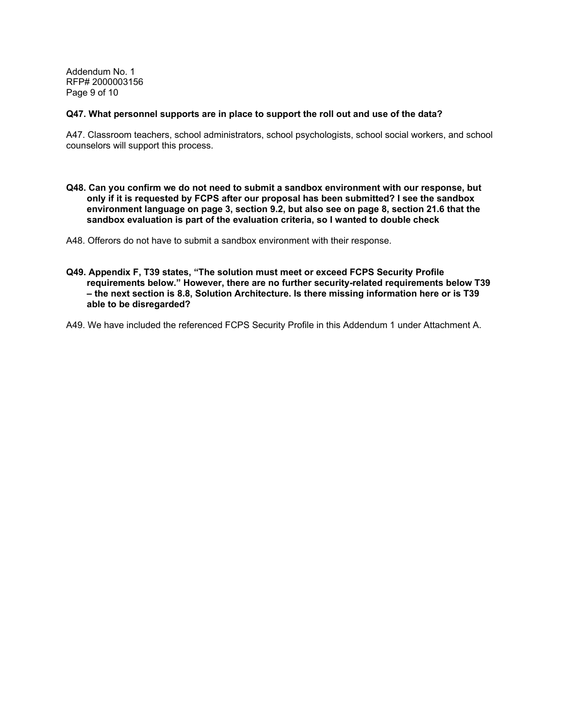Addendum No. 1 RFP# 2000003156 Page 9 of 10

#### **Q47. What personnel supports are in place to support the roll out and use of the data?**

A47. Classroom teachers, school administrators, school psychologists, school social workers, and school counselors will support this process.

**Q48. Can you confirm we do not need to submit a sandbox environment with our response, but only if it is requested by FCPS after our proposal has been submitted? I see the sandbox environment language on page 3, section 9.2, but also see on page 8, section 21.6 that the sandbox evaluation is part of the evaluation criteria, so I wanted to double check** 

A48. Offerors do not have to submit a sandbox environment with their response.

**Q49. Appendix F, T39 states, "The solution must meet or exceed FCPS Security Profile requirements below." However, there are no further security-related requirements below T39 – the next section is 8.8, Solution Architecture. Is there missing information here or is T39 able to be disregarded?** 

A49. We have included the referenced FCPS Security Profile in this Addendum 1 under Attachment A.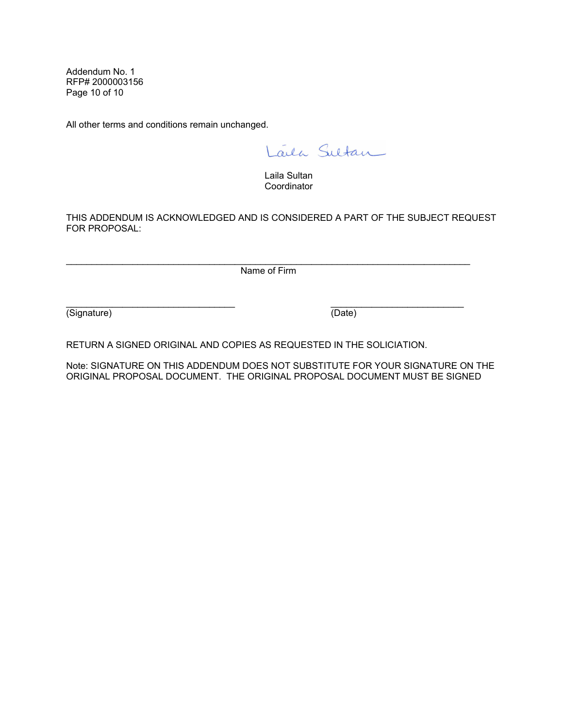Addendum No. 1 RFP# 2000003156 Page 10 of 10

All other terms and conditions remain unchanged.

Laila Sultan

Laila Sultan **Coordinator** 

THIS ADDENDUM IS ACKNOWLEDGED AND IS CONSIDERED A PART OF THE SUBJECT REQUEST FOR PROPOSAL:

\_\_\_\_\_\_\_\_\_\_\_\_\_\_\_\_\_\_\_\_\_\_\_\_\_\_\_\_\_\_\_\_\_\_\_\_\_\_\_\_\_\_\_\_\_\_\_\_\_\_\_\_\_\_\_\_\_\_\_\_\_\_\_\_\_\_\_\_\_\_\_\_\_\_\_\_\_\_\_ Name of Firm

(Signature) (Date)

RETURN A SIGNED ORIGINAL AND COPIES AS REQUESTED IN THE SOLICIATION.

Note: SIGNATURE ON THIS ADDENDUM DOES NOT SUBSTITUTE FOR YOUR SIGNATURE ON THE ORIGINAL PROPOSAL DOCUMENT. THE ORIGINAL PROPOSAL DOCUMENT MUST BE SIGNED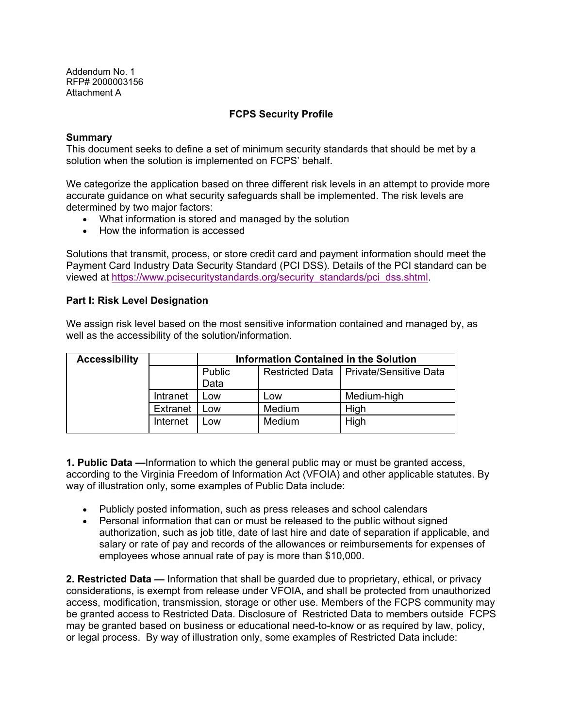# **FCPS Security Profile**

### **Summary**

This document seeks to define a set of minimum security standards that should be met by a solution when the solution is implemented on FCPS' behalf.

We categorize the application based on three different risk levels in an attempt to provide more accurate guidance on what security safeguards shall be implemented. The risk levels are determined by two major factors:

- What information is stored and managed by the solution
- How the information is accessed

Solutions that transmit, process, or store credit card and payment information should meet the Payment Card Industry Data Security Standard (PCI DSS). Details of the PCI standard can be viewed at https://www.pcisecuritystandards.org/security\_standards/pci\_dss.shtml.

## **Part I: Risk Level Designation**

We assign risk level based on the most sensitive information contained and managed by, as well as the accessibility of the solution/information.

| <b>Accessibility</b> |          | Information Contained in the Solution |        |                                          |  |
|----------------------|----------|---------------------------------------|--------|------------------------------------------|--|
|                      |          | Public<br>Data                        |        | Restricted Data   Private/Sensitive Data |  |
|                      | Intranet | _OW                                   | Low    | Medium-high                              |  |
|                      | Extranet | ∟ow                                   | Medium | High                                     |  |
|                      | Internet | Low                                   | Medium | High                                     |  |

**1. Public Data —**Information to which the general public may or must be granted access, according to the Virginia Freedom of Information Act (VFOIA) and other applicable statutes. By way of illustration only, some examples of Public Data include:

- Publicly posted information, such as press releases and school calendars
- Personal information that can or must be released to the public without signed authorization, such as job title, date of last hire and date of separation if applicable, and salary or rate of pay and records of the allowances or reimbursements for expenses of employees whose annual rate of pay is more than \$10,000.

**2. Restricted Data —** Information that shall be guarded due to proprietary, ethical, or privacy considerations, is exempt from release under VFOIA, and shall be protected from unauthorized access, modification, transmission, storage or other use. Members of the FCPS community may be granted access to Restricted Data. Disclosure of Restricted Data to members outside FCPS may be granted based on business or educational need-to-know or as required by law, policy, or legal process. By way of illustration only, some examples of Restricted Data include: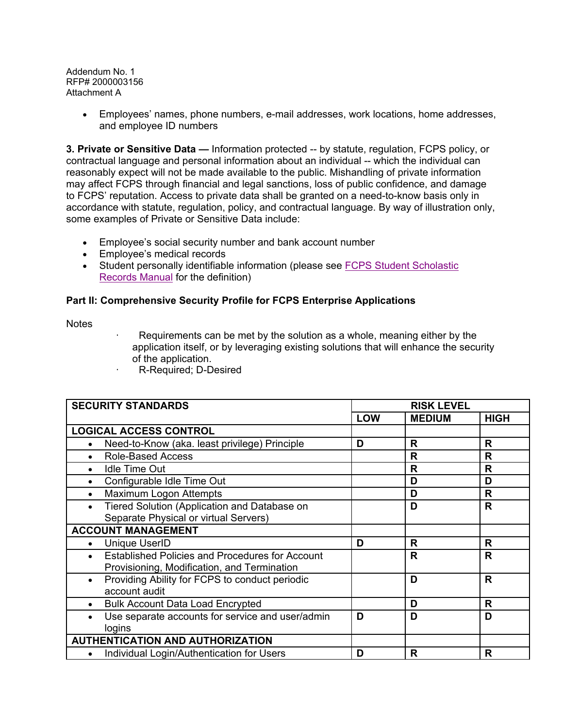> Employees' names, phone numbers, e-mail addresses, work locations, home addresses, and employee ID numbers

**3. Private or Sensitive Data —** Information protected -- by statute, regulation, FCPS policy, or contractual language and personal information about an individual -- which the individual can reasonably expect will not be made available to the public. Mishandling of private information may affect FCPS through financial and legal sanctions, loss of public confidence, and damage to FCPS' reputation. Access to private data shall be granted on a need-to-know basis only in accordance with statute, regulation, policy, and contractual language. By way of illustration only, some examples of Private or Sensitive Data include:

- Employee's social security number and bank account number
- Employee's medical records
- Student personally identifiable information (please see FCPS Student Scholastic Records Manual for the definition)

# **Part II: Comprehensive Security Profile for FCPS Enterprise Applications**

**Notes** 

- Requirements can be met by the solution as a whole, meaning either by the application itself, or by leveraging existing solutions that will enhance the security of the application.
- ꞏ R-Required; D-Desired

| <b>SECURITY STANDARDS</b>                                     |            | <b>RISK LEVEL</b> |             |  |
|---------------------------------------------------------------|------------|-------------------|-------------|--|
|                                                               | <b>LOW</b> | <b>MEDIUM</b>     | <b>HIGH</b> |  |
| <b>LOGICAL ACCESS CONTROL</b>                                 |            |                   |             |  |
| Need-to-Know (aka. least privilege) Principle                 | D          | R                 | R           |  |
| <b>Role-Based Access</b>                                      |            | R                 | R           |  |
| Idle Time Out                                                 |            | R                 | R           |  |
| Configurable Idle Time Out                                    |            | D                 | D           |  |
| Maximum Logon Attempts                                        |            | D                 | R           |  |
| Tiered Solution (Application and Database on                  |            | D                 | R           |  |
| Separate Physical or virtual Servers)                         |            |                   |             |  |
| <b>ACCOUNT MANAGEMENT</b>                                     |            |                   |             |  |
| <b>Unique UserID</b><br>$\bullet$                             | D          | R                 | R           |  |
| <b>Established Policies and Procedures for Account</b>        |            | R                 | R           |  |
| Provisioning, Modification, and Termination                   |            |                   |             |  |
| Providing Ability for FCPS to conduct periodic<br>$\bullet$   |            | D                 | R           |  |
| account audit                                                 |            |                   |             |  |
| <b>Bulk Account Data Load Encrypted</b>                       |            | D                 | R           |  |
| Use separate accounts for service and user/admin<br>$\bullet$ | D          | D                 | D           |  |
| logins                                                        |            |                   |             |  |
| <b>AUTHENTICATION AND AUTHORIZATION</b>                       |            |                   |             |  |
| Individual Login/Authentication for Users                     | D          | R                 | R           |  |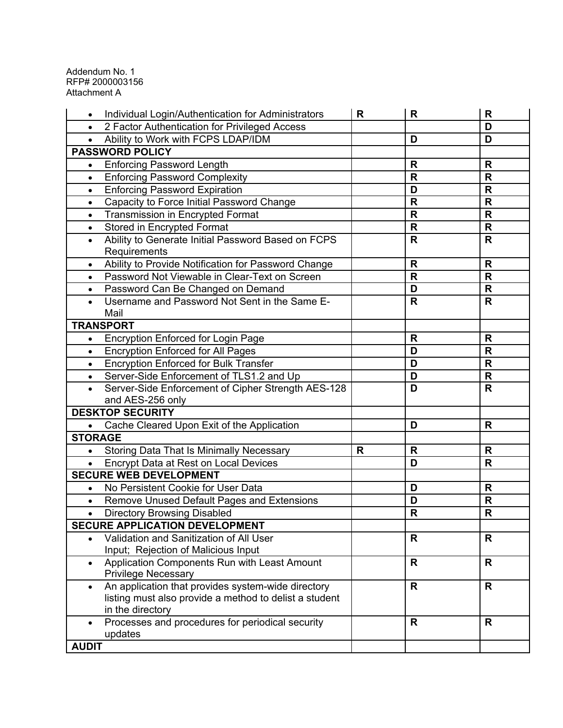|                | Individual Login/Authentication for Administrators          | R | R            | $\mathsf{R}$ |
|----------------|-------------------------------------------------------------|---|--------------|--------------|
| $\bullet$      | 2 Factor Authentication for Privileged Access               |   |              | D            |
| $\bullet$      | Ability to Work with FCPS LDAP/IDM                          |   | D            | D            |
|                | <b>PASSWORD POLICY</b>                                      |   |              |              |
| $\bullet$      | <b>Enforcing Password Length</b>                            |   | R            | R            |
| $\bullet$      | <b>Enforcing Password Complexity</b>                        |   | $\mathsf{R}$ | $\mathbf R$  |
| $\bullet$      | <b>Enforcing Password Expiration</b>                        |   | D            | R            |
| $\bullet$      | Capacity to Force Initial Password Change                   |   | $\mathbf R$  | $\mathbf R$  |
| $\bullet$      | <b>Transmission in Encrypted Format</b>                     |   | R            | R            |
| $\bullet$      | Stored in Encrypted Format                                  |   | $\mathsf{R}$ | $\mathsf{R}$ |
| $\bullet$      | Ability to Generate Initial Password Based on FCPS          |   | R            | R            |
|                | Requirements                                                |   |              |              |
| $\bullet$      | Ability to Provide Notification for Password Change         |   | R            | R            |
| $\bullet$      | Password Not Viewable in Clear-Text on Screen               |   | $\mathbf R$  | $\mathsf{R}$ |
| $\bullet$      | Password Can Be Changed on Demand                           |   | D            | R            |
| $\bullet$      | Username and Password Not Sent in the Same E-               |   | $\mathsf{R}$ | $\mathsf{R}$ |
|                | Mail                                                        |   |              |              |
|                | <b>TRANSPORT</b>                                            |   |              |              |
| $\bullet$      | <b>Encryption Enforced for Login Page</b>                   |   | $\mathsf{R}$ | R            |
| $\bullet$      | <b>Encryption Enforced for All Pages</b>                    |   | D            | $\mathbf R$  |
| $\bullet$      | <b>Encryption Enforced for Bulk Transfer</b>                |   | D            | R            |
| $\bullet$      | Server-Side Enforcement of TLS1.2 and Up                    |   | D            | R            |
| $\bullet$      | Server-Side Enforcement of Cipher Strength AES-128          |   | D            | R            |
|                | and AES-256 only                                            |   |              |              |
|                | <b>DESKTOP SECURITY</b>                                     |   |              |              |
| $\bullet$      | Cache Cleared Upon Exit of the Application                  |   | D            | R            |
| <b>STORAGE</b> |                                                             |   |              |              |
|                | <b>Storing Data That Is Minimally Necessary</b>             | R | R            | R            |
| $\bullet$      | Encrypt Data at Rest on Local Devices                       |   | D            | R            |
|                | <b>SECURE WEB DEVELOPMENT</b>                               |   |              |              |
| $\bullet$      | No Persistent Cookie for User Data                          |   | D            | R            |
| $\bullet$      | Remove Unused Default Pages and Extensions                  |   | D            | R            |
| $\bullet$      | <b>Directory Browsing Disabled</b>                          |   | $\mathsf{R}$ | $\mathsf{R}$ |
|                | <b>SECURE APPLICATION DEVELOPMENT</b>                       |   |              |              |
|                | Validation and Sanitization of All User                     |   | R            | R            |
|                | Input; Rejection of Malicious Input                         |   |              |              |
| $\bullet$      | Application Components Run with Least Amount                |   | R            | R.           |
|                | <b>Privilege Necessary</b>                                  |   |              |              |
|                | An application that provides system-wide directory          |   | R            | R            |
|                | listing must also provide a method to delist a student      |   |              |              |
|                | in the directory                                            |   |              |              |
| $\bullet$      | Processes and procedures for periodical security<br>updates |   | R            | R            |
| <b>AUDIT</b>   |                                                             |   |              |              |
|                |                                                             |   |              |              |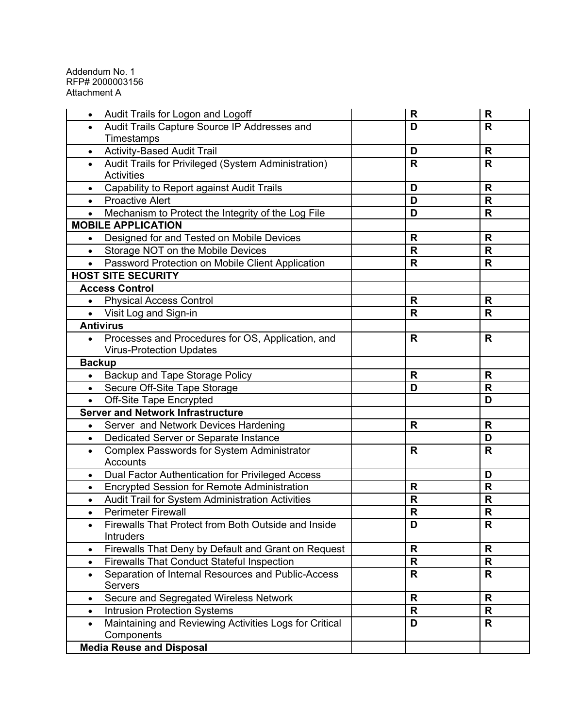| Audit Trails for Logon and Logoff<br>$\bullet$                      | R            | R            |
|---------------------------------------------------------------------|--------------|--------------|
| Audit Trails Capture Source IP Addresses and<br>$\bullet$           | D            | $\mathsf{R}$ |
| Timestamps                                                          |              |              |
| <b>Activity-Based Audit Trail</b><br>$\bullet$                      | D            | R            |
| Audit Trails for Privileged (System Administration)<br>$\bullet$    | $\mathsf{R}$ | $\mathsf{R}$ |
| <b>Activities</b>                                                   |              |              |
| <b>Capability to Report against Audit Trails</b><br>$\bullet$       | D            | R            |
| <b>Proactive Alert</b><br>$\bullet$                                 | D            | $\mathsf{R}$ |
| Mechanism to Protect the Integrity of the Log File<br>$\bullet$     | D            | $\mathbf R$  |
| <b>MOBILE APPLICATION</b>                                           |              |              |
| Designed for and Tested on Mobile Devices<br>$\bullet$              | R            | R            |
| Storage NOT on the Mobile Devices<br>$\bullet$                      | R            | R            |
| Password Protection on Mobile Client Application<br>$\bullet$       | $\mathsf{R}$ | $\mathsf{R}$ |
| <b>HOST SITE SECURITY</b>                                           |              |              |
| <b>Access Control</b>                                               |              |              |
| <b>Physical Access Control</b><br>$\bullet$                         | $\mathsf{R}$ | $\mathbf R$  |
| Visit Log and Sign-in<br>$\bullet$                                  | $\mathsf{R}$ | $\mathsf{R}$ |
| <b>Antivirus</b>                                                    |              |              |
| Processes and Procedures for OS, Application, and<br>$\bullet$      | R            | R            |
| <b>Virus-Protection Updates</b>                                     |              |              |
| <b>Backup</b>                                                       |              |              |
| Backup and Tape Storage Policy<br>$\bullet$                         | R            | R            |
| Secure Off-Site Tape Storage<br>$\bullet$                           | D            | $\mathsf{R}$ |
| <b>Off-Site Tape Encrypted</b><br>$\bullet$                         |              | D            |
| <b>Server and Network Infrastructure</b>                            |              |              |
| Server and Network Devices Hardening<br>$\bullet$                   | R            | R            |
| Dedicated Server or Separate Instance<br>$\bullet$                  |              | D            |
| <b>Complex Passwords for System Administrator</b><br>$\bullet$      | R            | R            |
| Accounts                                                            |              |              |
| Dual Factor Authentication for Privileged Access<br>$\bullet$       |              | D            |
| <b>Encrypted Session for Remote Administration</b><br>$\bullet$     | $\mathsf{R}$ | R            |
| Audit Trail for System Administration Activities<br>$\bullet$       | $\mathsf{R}$ | $\mathbf R$  |
| <b>Perimeter Firewall</b><br>$\bullet$                              | R            | R            |
| Firewalls That Protect from Both Outside and Inside<br>٠            | D            | R            |
| <b>Intruders</b>                                                    |              |              |
| Firewalls That Deny by Default and Grant on Request<br>$\bullet$    | $\mathsf{R}$ | $\mathsf{R}$ |
| <b>Firewalls That Conduct Stateful Inspection</b><br>$\bullet$      | R            | R            |
| Separation of Internal Resources and Public-Access<br>$\bullet$     | R            | R            |
| <b>Servers</b>                                                      |              |              |
| Secure and Segregated Wireless Network<br>$\bullet$                 | $\mathsf{R}$ | $\mathbf R$  |
| <b>Intrusion Protection Systems</b><br>$\bullet$                    | R            | R            |
| Maintaining and Reviewing Activities Logs for Critical<br>$\bullet$ | D            | $\mathsf{R}$ |
| Components                                                          |              |              |
| <b>Media Reuse and Disposal</b>                                     |              |              |